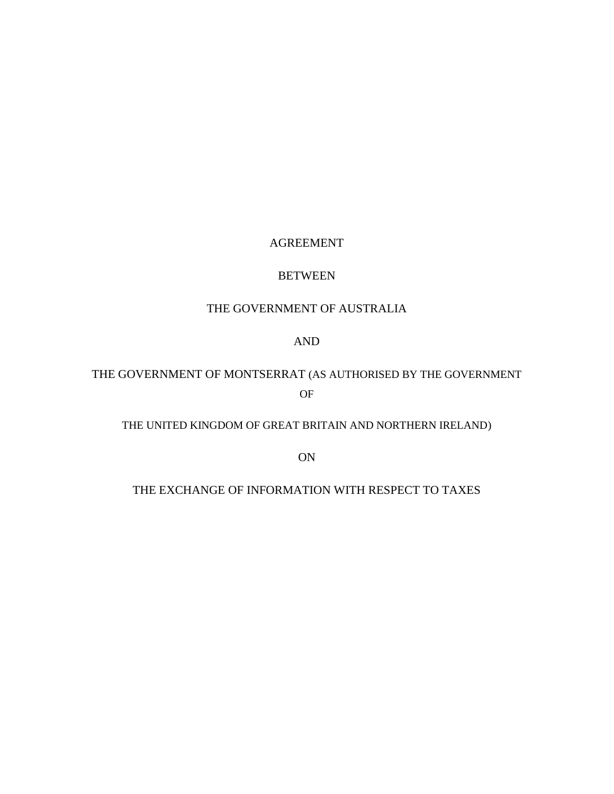# AGREEMENT

# BETWEEN

# THE GOVERNMENT OF AUSTRALIA

# AND

# THE GOVERNMENT OF MONTSERRAT (AS AUTHORISED BY THE GOVERNMENT OF

# THE UNITED KINGDOM OF GREAT BRITAIN AND NORTHERN IRELAND)

ON

# THE EXCHANGE OF INFORMATION WITH RESPECT TO TAXES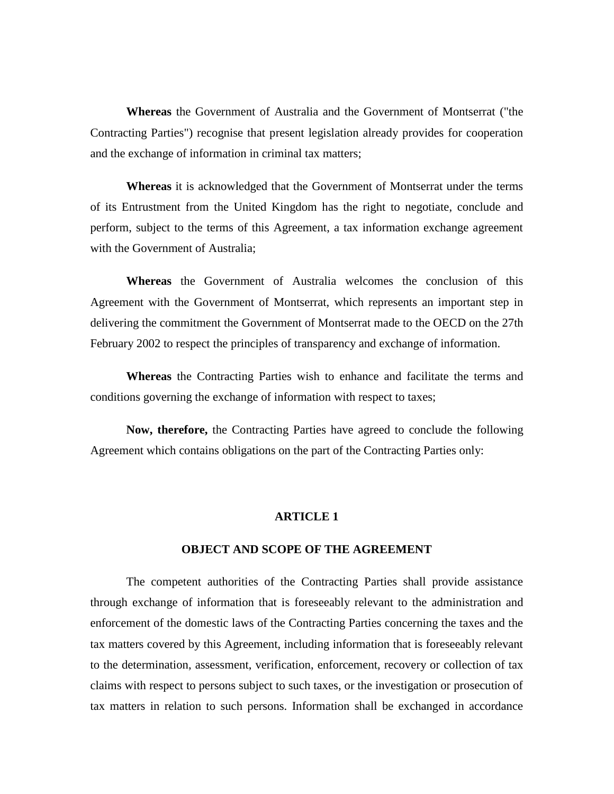**Whereas** the Government of Australia and the Government of Montserrat ("the Contracting Parties") recognise that present legislation already provides for cooperation and the exchange of information in criminal tax matters;

**Whereas** it is acknowledged that the Government of Montserrat under the terms of its Entrustment from the United Kingdom has the right to negotiate, conclude and perform, subject to the terms of this Agreement, a tax information exchange agreement with the Government of Australia;

**Whereas** the Government of Australia welcomes the conclusion of this Agreement with the Government of Montserrat, which represents an important step in delivering the commitment the Government of Montserrat made to the OECD on the 27th February 2002 to respect the principles of transparency and exchange of information.

**Whereas** the Contracting Parties wish to enhance and facilitate the terms and conditions governing the exchange of information with respect to taxes;

**Now, therefore,** the Contracting Parties have agreed to conclude the following Agreement which contains obligations on the part of the Contracting Parties only:

#### **ARTICLE 1**

#### **OBJECT AND SCOPE OF THE AGREEMENT**

The competent authorities of the Contracting Parties shall provide assistance through exchange of information that is foreseeably relevant to the administration and enforcement of the domestic laws of the Contracting Parties concerning the taxes and the tax matters covered by this Agreement, including information that is foreseeably relevant to the determination, assessment, verification, enforcement, recovery or collection of tax claims with respect to persons subject to such taxes, or the investigation or prosecution of tax matters in relation to such persons. Information shall be exchanged in accordance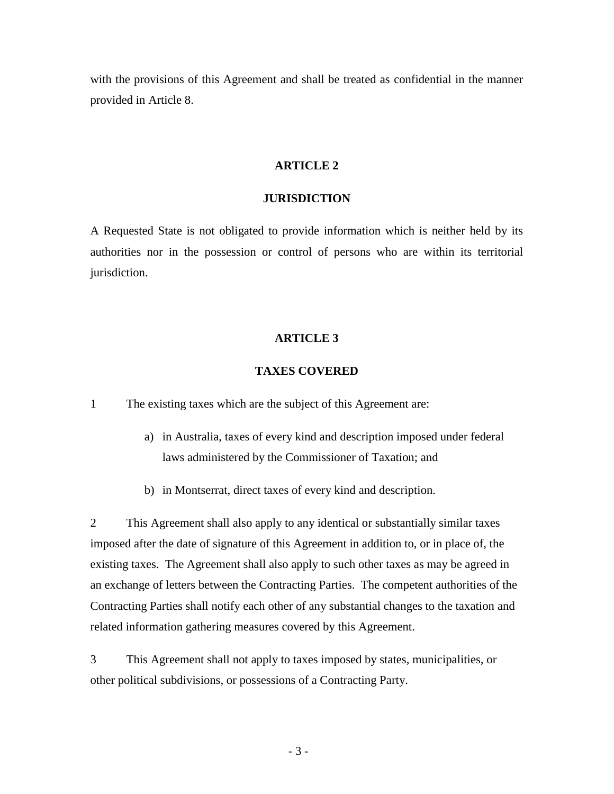with the provisions of this Agreement and shall be treated as confidential in the manner provided in Article 8.

#### **ARTICLE 2**

# **JURISDICTION**

A Requested State is not obligated to provide information which is neither held by its authorities nor in the possession or control of persons who are within its territorial jurisdiction.

#### **ARTICLE 3**

#### **TAXES COVERED**

1 The existing taxes which are the subject of this Agreement are:

- a) in Australia, taxes of every kind and description imposed under federal laws administered by the Commissioner of Taxation; and
- b) in Montserrat, direct taxes of every kind and description.

2 This Agreement shall also apply to any identical or substantially similar taxes imposed after the date of signature of this Agreement in addition to, or in place of, the existing taxes. The Agreement shall also apply to such other taxes as may be agreed in an exchange of letters between the Contracting Parties. The competent authorities of the Contracting Parties shall notify each other of any substantial changes to the taxation and related information gathering measures covered by this Agreement.

3 This Agreement shall not apply to taxes imposed by states, municipalities, or other political subdivisions, or possessions of a Contracting Party.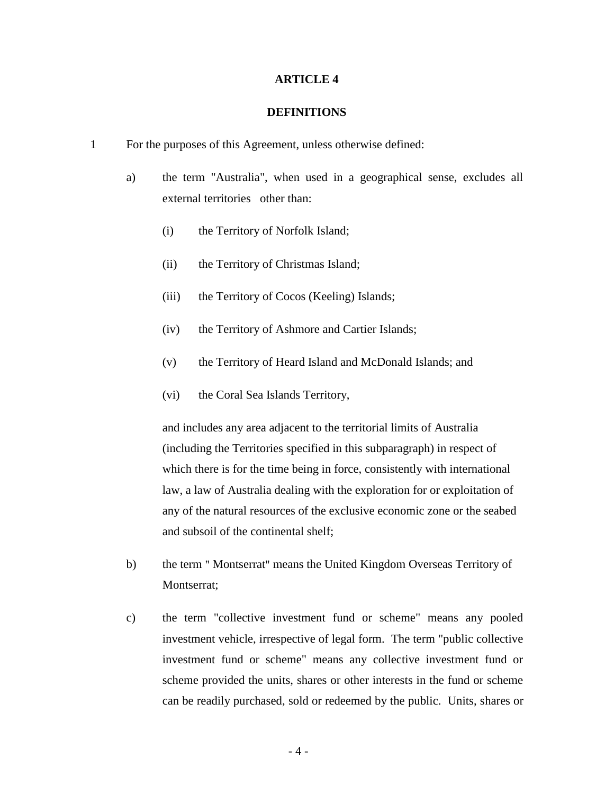### **DEFINITIONS**

- 1 For the purposes of this Agreement, unless otherwise defined:
	- a) the term "Australia", when used in a geographical sense, excludes all external territories other than:
		- (i) the Territory of Norfolk Island;
		- (ii) the Territory of Christmas Island;
		- (iii) the Territory of Cocos (Keeling) Islands;
		- (iv) the Territory of Ashmore and Cartier Islands;
		- (v) the Territory of Heard Island and McDonald Islands; and
		- (vi) the Coral Sea Islands Territory,

and includes any area adjacent to the territorial limits of Australia (including the Territories specified in this subparagraph) in respect of which there is for the time being in force, consistently with international law, a law of Australia dealing with the exploration for or exploitation of any of the natural resources of the exclusive economic zone or the seabed and subsoil of the continental shelf;

- b) the term " Montserrat" means the United Kingdom Overseas Territory of Montserrat;
- c) the term "collective investment fund or scheme" means any pooled investment vehicle, irrespective of legal form. The term "public collective investment fund or scheme" means any collective investment fund or scheme provided the units, shares or other interests in the fund or scheme can be readily purchased, sold or redeemed by the public. Units, shares or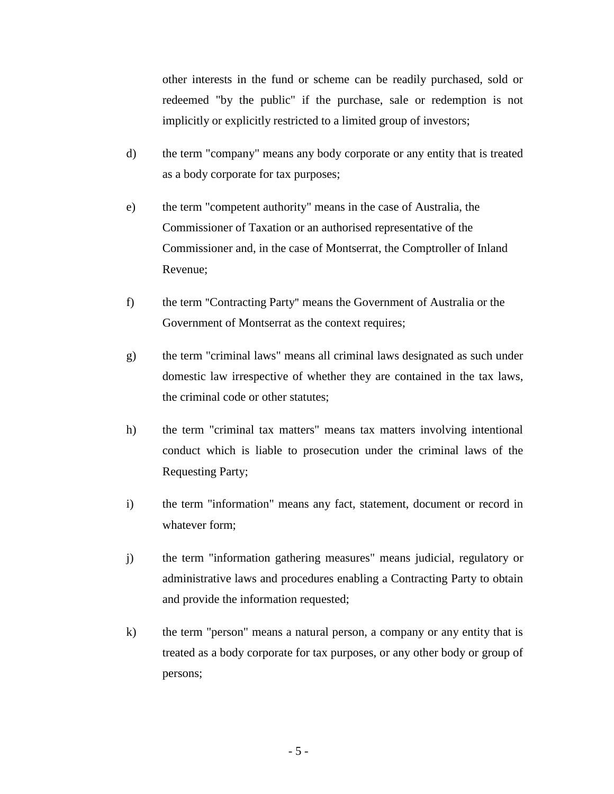other interests in the fund or scheme can be readily purchased, sold or redeemed "by the public" if the purchase, sale or redemption is not implicitly or explicitly restricted to a limited group of investors;

- d) the term "company" means any body corporate or any entity that is treated as a body corporate for tax purposes;
- e) the term "competent authority" means in the case of Australia, the Commissioner of Taxation or an authorised representative of the Commissioner and, in the case of Montserrat, the Comptroller of Inland Revenue;
- f) the term "Contracting Party" means the Government of Australia or the Government of Montserrat as the context requires;
- g) the term "criminal laws" means all criminal laws designated as such under domestic law irrespective of whether they are contained in the tax laws, the criminal code or other statutes;
- h) the term "criminal tax matters" means tax matters involving intentional conduct which is liable to prosecution under the criminal laws of the Requesting Party;
- i) the term "information" means any fact, statement, document or record in whatever form;
- j) the term "information gathering measures" means judicial, regulatory or administrative laws and procedures enabling a Contracting Party to obtain and provide the information requested;
- k) the term "person" means a natural person, a company or any entity that is treated as a body corporate for tax purposes, or any other body or group of persons;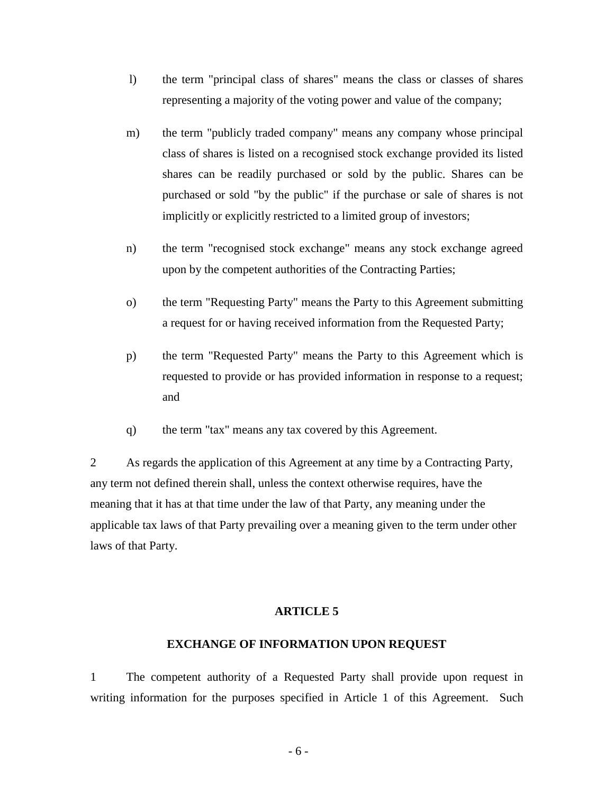- l) the term "principal class of shares" means the class or classes of shares representing a majority of the voting power and value of the company;
- m) the term "publicly traded company" means any company whose principal class of shares is listed on a recognised stock exchange provided its listed shares can be readily purchased or sold by the public. Shares can be purchased or sold "by the public" if the purchase or sale of shares is not implicitly or explicitly restricted to a limited group of investors;
- n) the term "recognised stock exchange" means any stock exchange agreed upon by the competent authorities of the Contracting Parties;
- o) the term "Requesting Party" means the Party to this Agreement submitting a request for or having received information from the Requested Party;
- p) the term "Requested Party" means the Party to this Agreement which is requested to provide or has provided information in response to a request; and
- q) the term "tax" means any tax covered by this Agreement.

2 As regards the application of this Agreement at any time by a Contracting Party, any term not defined therein shall, unless the context otherwise requires, have the meaning that it has at that time under the law of that Party, any meaning under the applicable tax laws of that Party prevailing over a meaning given to the term under other laws of that Party.

#### **ARTICLE 5**

### **EXCHANGE OF INFORMATION UPON REQUEST**

1 The competent authority of a Requested Party shall provide upon request in writing information for the purposes specified in Article 1 of this Agreement. Such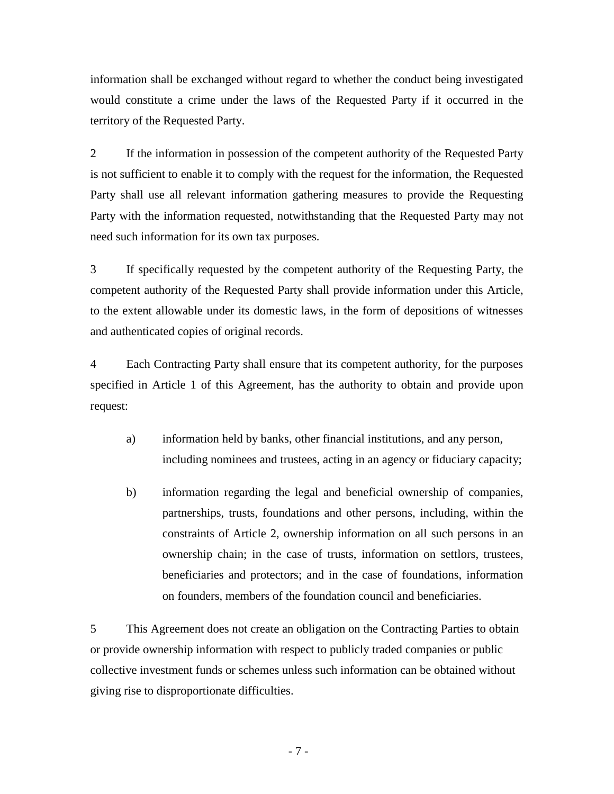information shall be exchanged without regard to whether the conduct being investigated would constitute a crime under the laws of the Requested Party if it occurred in the territory of the Requested Party.

2 If the information in possession of the competent authority of the Requested Party is not sufficient to enable it to comply with the request for the information, the Requested Party shall use all relevant information gathering measures to provide the Requesting Party with the information requested, notwithstanding that the Requested Party may not need such information for its own tax purposes.

3 If specifically requested by the competent authority of the Requesting Party, the competent authority of the Requested Party shall provide information under this Article, to the extent allowable under its domestic laws, in the form of depositions of witnesses and authenticated copies of original records.

4 Each Contracting Party shall ensure that its competent authority, for the purposes specified in Article 1 of this Agreement, has the authority to obtain and provide upon request:

- a) information held by banks, other financial institutions, and any person, including nominees and trustees, acting in an agency or fiduciary capacity;
- b) information regarding the legal and beneficial ownership of companies, partnerships, trusts, foundations and other persons, including, within the constraints of Article 2, ownership information on all such persons in an ownership chain; in the case of trusts, information on settlors, trustees, beneficiaries and protectors; and in the case of foundations, information on founders, members of the foundation council and beneficiaries.

5 This Agreement does not create an obligation on the Contracting Parties to obtain or provide ownership information with respect to publicly traded companies or public collective investment funds or schemes unless such information can be obtained without giving rise to disproportionate difficulties.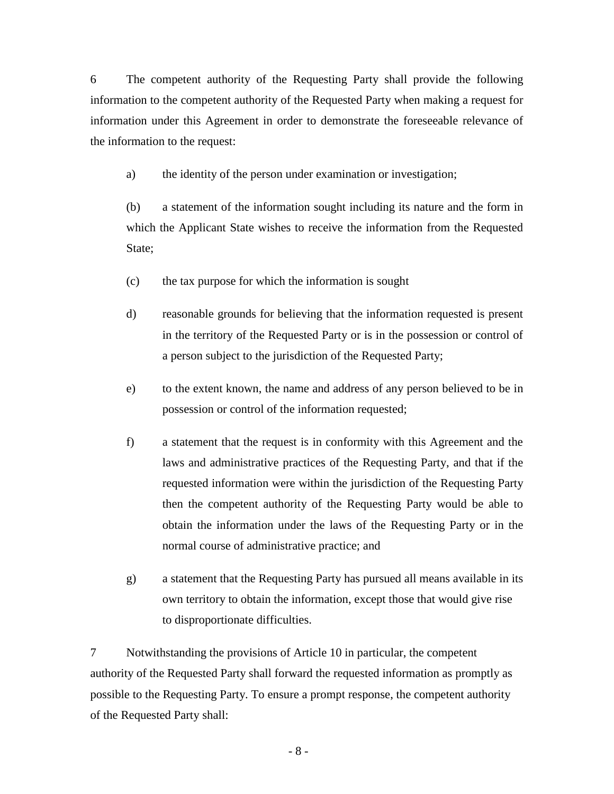6 The competent authority of the Requesting Party shall provide the following information to the competent authority of the Requested Party when making a request for information under this Agreement in order to demonstrate the foreseeable relevance of the information to the request:

a) the identity of the person under examination or investigation;

(b) a statement of the information sought including its nature and the form in which the Applicant State wishes to receive the information from the Requested State;

- (c) the tax purpose for which the information is sought
- d) reasonable grounds for believing that the information requested is present in the territory of the Requested Party or is in the possession or control of a person subject to the jurisdiction of the Requested Party;
- e) to the extent known, the name and address of any person believed to be in possession or control of the information requested;
- f) a statement that the request is in conformity with this Agreement and the laws and administrative practices of the Requesting Party, and that if the requested information were within the jurisdiction of the Requesting Party then the competent authority of the Requesting Party would be able to obtain the information under the laws of the Requesting Party or in the normal course of administrative practice; and
- g) a statement that the Requesting Party has pursued all means available in its own territory to obtain the information, except those that would give rise to disproportionate difficulties.

7 Notwithstanding the provisions of Article 10 in particular, the competent authority of the Requested Party shall forward the requested information as promptly as possible to the Requesting Party. To ensure a prompt response, the competent authority of the Requested Party shall: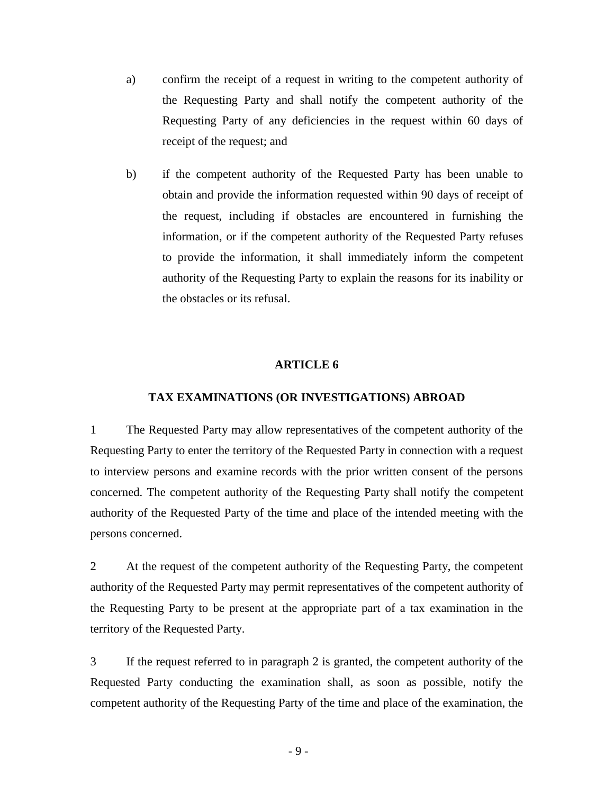- a) confirm the receipt of a request in writing to the competent authority of the Requesting Party and shall notify the competent authority of the Requesting Party of any deficiencies in the request within 60 days of receipt of the request; and
- b) if the competent authority of the Requested Party has been unable to obtain and provide the information requested within 90 days of receipt of the request, including if obstacles are encountered in furnishing the information, or if the competent authority of the Requested Party refuses to provide the information, it shall immediately inform the competent authority of the Requesting Party to explain the reasons for its inability or the obstacles or its refusal.

#### **TAX EXAMINATIONS (OR INVESTIGATIONS) ABROAD**

1 The Requested Party may allow representatives of the competent authority of the Requesting Party to enter the territory of the Requested Party in connection with a request to interview persons and examine records with the prior written consent of the persons concerned. The competent authority of the Requesting Party shall notify the competent authority of the Requested Party of the time and place of the intended meeting with the persons concerned.

2 At the request of the competent authority of the Requesting Party, the competent authority of the Requested Party may permit representatives of the competent authority of the Requesting Party to be present at the appropriate part of a tax examination in the territory of the Requested Party.

3 If the request referred to in paragraph 2 is granted, the competent authority of the Requested Party conducting the examination shall, as soon as possible, notify the competent authority of the Requesting Party of the time and place of the examination, the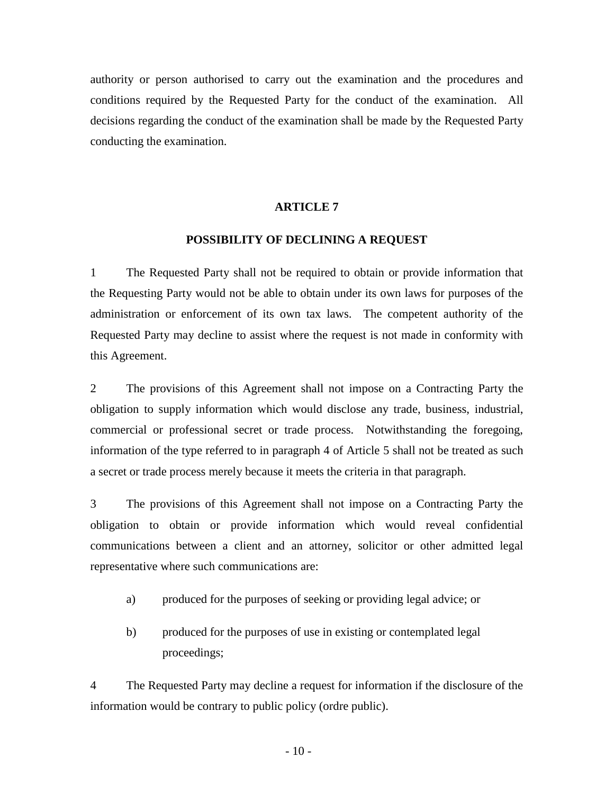authority or person authorised to carry out the examination and the procedures and conditions required by the Requested Party for the conduct of the examination. All decisions regarding the conduct of the examination shall be made by the Requested Party conducting the examination.

#### **ARTICLE 7**

#### **POSSIBILITY OF DECLINING A REQUEST**

1 The Requested Party shall not be required to obtain or provide information that the Requesting Party would not be able to obtain under its own laws for purposes of the administration or enforcement of its own tax laws. The competent authority of the Requested Party may decline to assist where the request is not made in conformity with this Agreement.

2 The provisions of this Agreement shall not impose on a Contracting Party the obligation to supply information which would disclose any trade, business, industrial, commercial or professional secret or trade process. Notwithstanding the foregoing, information of the type referred to in paragraph 4 of Article 5 shall not be treated as such a secret or trade process merely because it meets the criteria in that paragraph.

3 The provisions of this Agreement shall not impose on a Contracting Party the obligation to obtain or provide information which would reveal confidential communications between a client and an attorney, solicitor or other admitted legal representative where such communications are:

- a) produced for the purposes of seeking or providing legal advice; or
- b) produced for the purposes of use in existing or contemplated legal proceedings;

4 The Requested Party may decline a request for information if the disclosure of the information would be contrary to public policy (ordre public).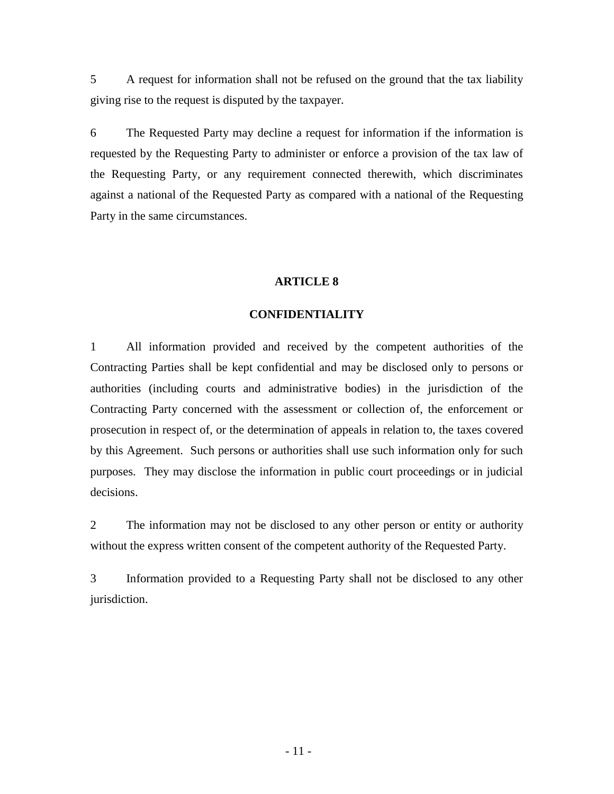5 A request for information shall not be refused on the ground that the tax liability giving rise to the request is disputed by the taxpayer.

6 The Requested Party may decline a request for information if the information is requested by the Requesting Party to administer or enforce a provision of the tax law of the Requesting Party, or any requirement connected therewith, which discriminates against a national of the Requested Party as compared with a national of the Requesting Party in the same circumstances.

# **ARTICLE 8**

# **CONFIDENTIALITY**

1 All information provided and received by the competent authorities of the Contracting Parties shall be kept confidential and may be disclosed only to persons or authorities (including courts and administrative bodies) in the jurisdiction of the Contracting Party concerned with the assessment or collection of, the enforcement or prosecution in respect of, or the determination of appeals in relation to, the taxes covered by this Agreement. Such persons or authorities shall use such information only for such purposes. They may disclose the information in public court proceedings or in judicial decisions.

2 The information may not be disclosed to any other person or entity or authority without the express written consent of the competent authority of the Requested Party.

3 Information provided to a Requesting Party shall not be disclosed to any other jurisdiction.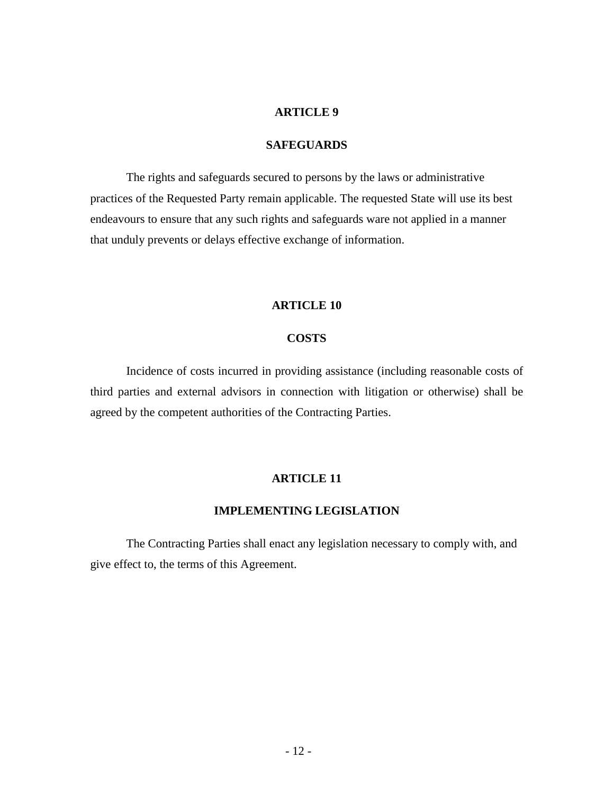### **SAFEGUARDS**

The rights and safeguards secured to persons by the laws or administrative practices of the Requested Party remain applicable. The requested State will use its best endeavours to ensure that any such rights and safeguards ware not applied in a manner that unduly prevents or delays effective exchange of information.

### **ARTICLE 10**

# **COSTS**

Incidence of costs incurred in providing assistance (including reasonable costs of third parties and external advisors in connection with litigation or otherwise) shall be agreed by the competent authorities of the Contracting Parties.

#### **ARTICLE 11**

#### **IMPLEMENTING LEGISLATION**

The Contracting Parties shall enact any legislation necessary to comply with, and give effect to, the terms of this Agreement.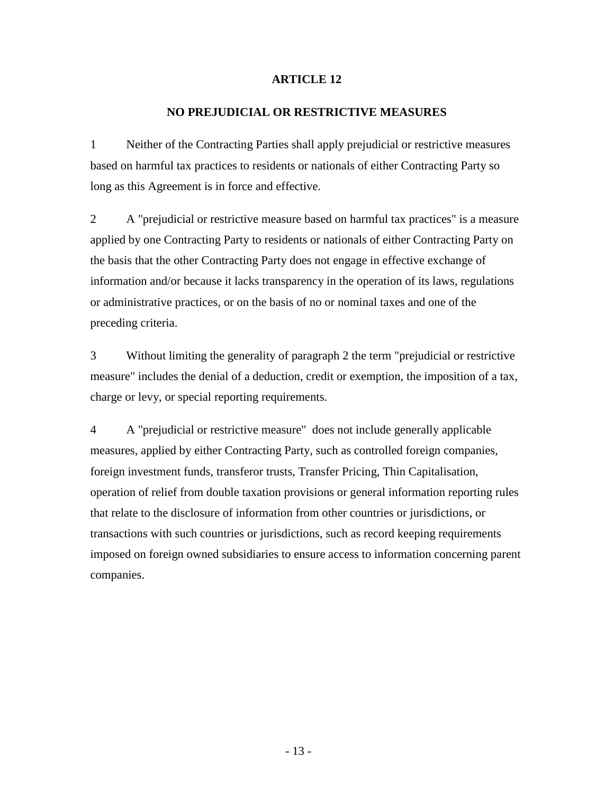# **NO PREJUDICIAL OR RESTRICTIVE MEASURES**

1 Neither of the Contracting Parties shall apply prejudicial or restrictive measures based on harmful tax practices to residents or nationals of either Contracting Party so long as this Agreement is in force and effective.

2 A "prejudicial or restrictive measure based on harmful tax practices" is a measure applied by one Contracting Party to residents or nationals of either Contracting Party on the basis that the other Contracting Party does not engage in effective exchange of information and/or because it lacks transparency in the operation of its laws, regulations or administrative practices, or on the basis of no or nominal taxes and one of the preceding criteria.

3 Without limiting the generality of paragraph 2 the term "prejudicial or restrictive measure" includes the denial of a deduction, credit or exemption, the imposition of a tax, charge or levy, or special reporting requirements.

4 A "prejudicial or restrictive measure" does not include generally applicable measures, applied by either Contracting Party, such as controlled foreign companies, foreign investment funds, transferor trusts, Transfer Pricing, Thin Capitalisation, operation of relief from double taxation provisions or general information reporting rules that relate to the disclosure of information from other countries or jurisdictions, or transactions with such countries or jurisdictions, such as record keeping requirements imposed on foreign owned subsidiaries to ensure access to information concerning parent companies.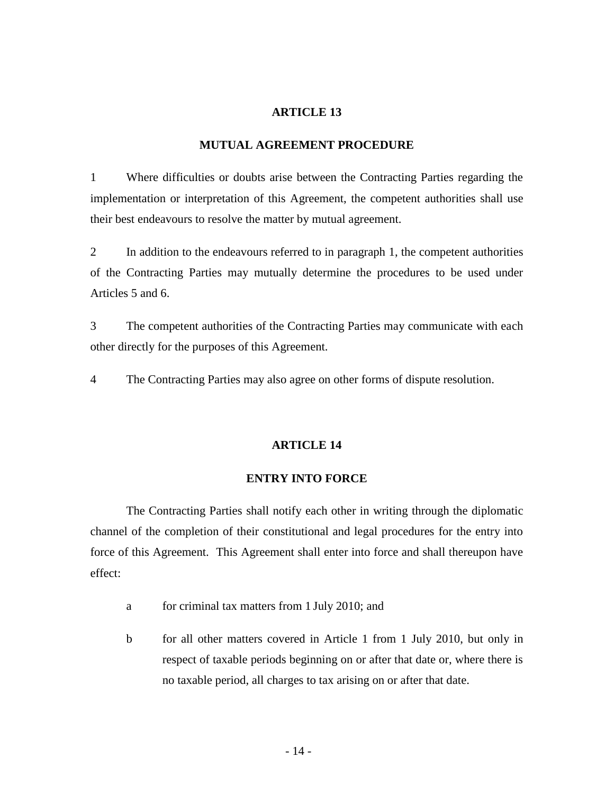### **MUTUAL AGREEMENT PROCEDURE**

1 Where difficulties or doubts arise between the Contracting Parties regarding the implementation or interpretation of this Agreement, the competent authorities shall use their best endeavours to resolve the matter by mutual agreement.

2 In addition to the endeavours referred to in paragraph 1, the competent authorities of the Contracting Parties may mutually determine the procedures to be used under Articles 5 and 6.

3 The competent authorities of the Contracting Parties may communicate with each other directly for the purposes of this Agreement.

4 The Contracting Parties may also agree on other forms of dispute resolution.

#### **ARTICLE 14**

#### **ENTRY INTO FORCE**

The Contracting Parties shall notify each other in writing through the diplomatic channel of the completion of their constitutional and legal procedures for the entry into force of this Agreement. This Agreement shall enter into force and shall thereupon have effect:

- a for criminal tax matters from 1 July 2010; and
- b for all other matters covered in Article 1 from 1 July 2010, but only in respect of taxable periods beginning on or after that date or, where there is no taxable period, all charges to tax arising on or after that date.